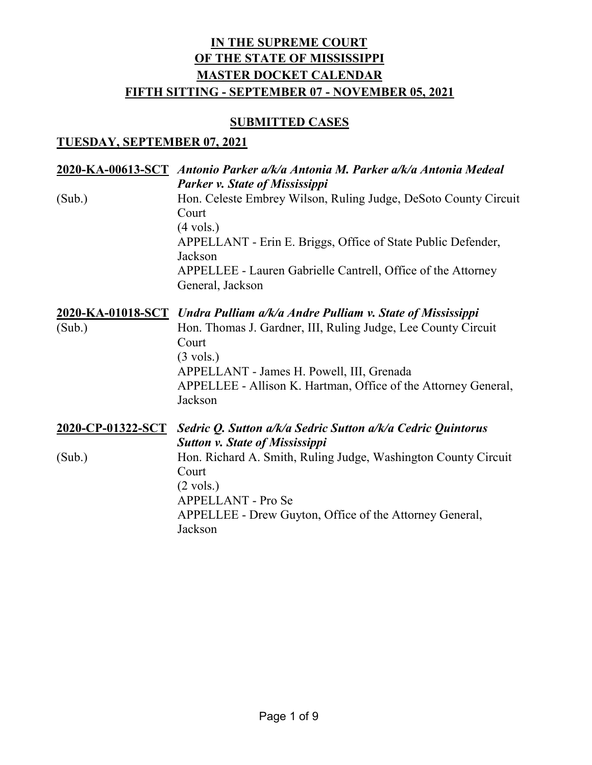### **SUBMITTED CASES**

### **TUESDAY, SEPTEMBER 07, 2021**

|                   | 2020-KA-00613-SCT Antonio Parker a/k/a Antonia M. Parker a/k/a Antonia Medeal<br>Parker v. State of Mississippi                                                                                                                                                |
|-------------------|----------------------------------------------------------------------------------------------------------------------------------------------------------------------------------------------------------------------------------------------------------------|
| (Sub.)            | Hon. Celeste Embrey Wilson, Ruling Judge, DeSoto County Circuit<br>Court<br>$(4 \text{ vols.})$<br>APPELLANT - Erin E. Briggs, Office of State Public Defender,<br>Jackson<br>APPELLEE - Lauren Gabrielle Cantrell, Office of the Attorney<br>General, Jackson |
|                   | 2020-KA-01018-SCT Undra Pulliam a/k/a Andre Pulliam v. State of Mississippi                                                                                                                                                                                    |
| (Sub.)            | Hon. Thomas J. Gardner, III, Ruling Judge, Lee County Circuit<br>Court<br>$(3 \text{ vols.})$<br>APPELLANT - James H. Powell, III, Grenada<br>APPELLEE - Allison K. Hartman, Office of the Attorney General,<br>Jackson                                        |
| 2020-CP-01322-SCT | Sedric Q. Sutton a/k/a Sedric Sutton a/k/a Cedric Quintorus                                                                                                                                                                                                    |
| (Sub.)            | <b>Sutton v. State of Mississippi</b><br>Hon. Richard A. Smith, Ruling Judge, Washington County Circuit<br>Court<br>$(2 \text{ vols.})$<br>APPELLANT - Pro Se<br>APPELLEE - Drew Guyton, Office of the Attorney General,<br>Jackson                            |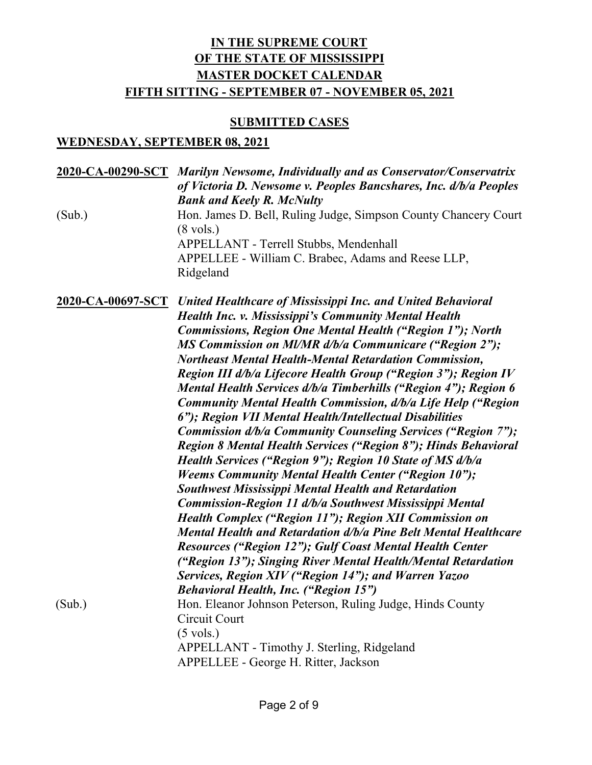### **SUBMITTED CASES**

### **WEDNESDAY, SEPTEMBER 08, 2021**

| (Sub.) | 2020-CA-00290-SCT Marilyn Newsome, Individually and as Conservator/Conservatrix<br>of Victoria D. Newsome v. Peoples Bancshares, Inc. d/b/a Peoples<br><b>Bank and Keely R. McNulty</b><br>Hon. James D. Bell, Ruling Judge, Simpson County Chancery Court<br>$(8 \text{ vols.})$<br>APPELLANT - Terrell Stubbs, Mendenhall<br>APPELLEE - William C. Brabec, Adams and Reese LLP,<br>Ridgeland                                                                                                                                                                                                                                                                                                                                                                                                                                                                                                                                                                                                                                                                                                                                                                                                                                                                                                                                                                                           |
|--------|------------------------------------------------------------------------------------------------------------------------------------------------------------------------------------------------------------------------------------------------------------------------------------------------------------------------------------------------------------------------------------------------------------------------------------------------------------------------------------------------------------------------------------------------------------------------------------------------------------------------------------------------------------------------------------------------------------------------------------------------------------------------------------------------------------------------------------------------------------------------------------------------------------------------------------------------------------------------------------------------------------------------------------------------------------------------------------------------------------------------------------------------------------------------------------------------------------------------------------------------------------------------------------------------------------------------------------------------------------------------------------------|
|        | <b>2020-CA-00697-SCT</b> United Healthcare of Mississippi Inc. and United Behavioral<br><b>Health Inc. v. Mississippi's Community Mental Health</b><br><b>Commissions, Region One Mental Health ("Region 1"); North</b><br>MS Commission on MI/MR d/b/a Communicare ("Region 2");<br><b>Northeast Mental Health-Mental Retardation Commission,</b><br>Region III d/b/a Lifecore Health Group ("Region 3"); Region IV<br>Mental Health Services d/b/a Timberhills ("Region 4"); Region 6<br>Community Mental Health Commission, d/b/a Life Help ("Region<br>6"); Region VII Mental Health/Intellectual Disabilities<br>Commission d/b/a Community Counseling Services ("Region 7");<br><b>Region 8 Mental Health Services ("Region 8"); Hinds Behavioral</b><br>Health Services ("Region 9"); Region 10 State of MS d/b/a<br><b>Weems Community Mental Health Center ("Region 10");</b><br><b>Southwest Mississippi Mental Health and Retardation</b><br>Commission-Region 11 d/b/a Southwest Mississippi Mental<br>Health Complex ("Region 11"); Region XII Commission on<br>Mental Health and Retardation d/b/a Pine Belt Mental Healthcare<br><b>Resources ("Region 12"); Gulf Coast Mental Health Center</b><br>("Region 13"); Singing River Mental Health/Mental Retardation<br>Services, Region XIV ("Region 14"); and Warren Yazoo<br><b>Behavioral Health, Inc. ("Region 15")</b> |
| (Sub.) | Hon. Eleanor Johnson Peterson, Ruling Judge, Hinds County<br>Circuit Court<br>$(5 \text{ vols.})$<br>APPELLANT - Timothy J. Sterling, Ridgeland<br>APPELLEE - George H. Ritter, Jackson                                                                                                                                                                                                                                                                                                                                                                                                                                                                                                                                                                                                                                                                                                                                                                                                                                                                                                                                                                                                                                                                                                                                                                                                  |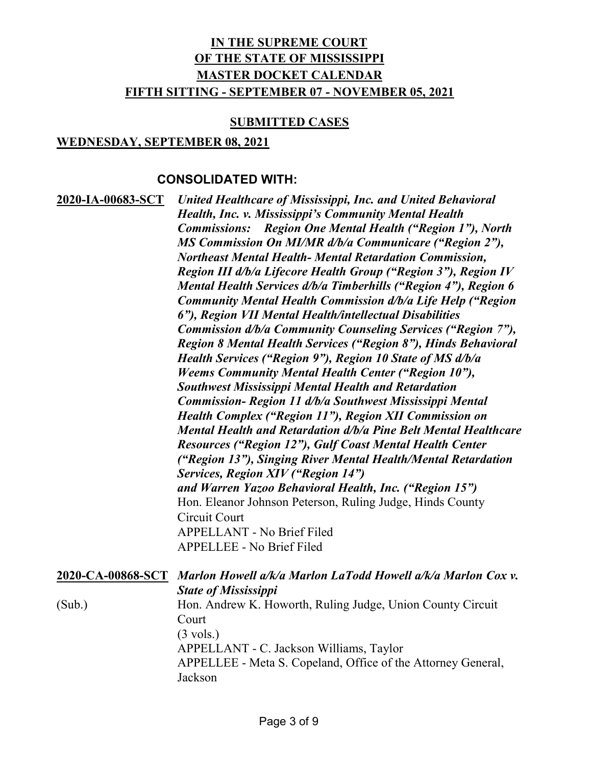#### **SUBMITTED CASES**

### **WEDNESDAY, SEPTEMBER 08, 2021**

### **CONSOLIDATED WITH:**

| <u>2020-IA-00683-SCT</u> | <b>United Healthcare of Mississippi, Inc. and United Behavioral</b>   |
|--------------------------|-----------------------------------------------------------------------|
|                          | <b>Health, Inc. v. Mississippi's Community Mental Health</b>          |
|                          | <b>Commissions:</b> Region One Mental Health ("Region 1"), North      |
|                          | MS Commission On MI/MR d/b/a Communicare ("Region 2"),                |
|                          | <b>Northeast Mental Health- Mental Retardation Commission,</b>        |
|                          | Region III d/b/a Lifecore Health Group ("Region 3"), Region IV        |
|                          | Mental Health Services d/b/a Timberhills ("Region 4"), Region 6       |
|                          | Community Mental Health Commission d/b/a Life Help ("Region           |
|                          | 6"), Region VII Mental Health/intellectual Disabilities               |
|                          | Commission d/b/a Community Counseling Services ("Region 7"),          |
|                          | <b>Region 8 Mental Health Services ("Region 8"), Hinds Behavioral</b> |
|                          | Health Services ("Region 9"), Region 10 State of MS d/b/a             |
|                          | <b>Weems Community Mental Health Center ("Region 10"),</b>            |
|                          | <b>Southwest Mississippi Mental Health and Retardation</b>            |
|                          | Commission- Region 11 d/b/a Southwest Mississippi Mental              |
|                          | <b>Health Complex ("Region 11"), Region XII Commission on</b>         |
|                          | Mental Health and Retardation d/b/a Pine Belt Mental Healthcare       |
|                          | <b>Resources ("Region 12"), Gulf Coast Mental Health Center</b>       |
|                          | ("Region 13"), Singing River Mental Health/Mental Retardation         |
|                          | Services, Region XIV ("Region 14")                                    |
|                          | and Warren Yazoo Behavioral Health, Inc. ("Region 15")                |
|                          | Hon. Eleanor Johnson Peterson, Ruling Judge, Hinds County             |
|                          | Circuit Court                                                         |
|                          | <b>APPELLANT - No Brief Filed</b>                                     |
|                          | <b>APPELLEE - No Brief Filed</b>                                      |
|                          |                                                                       |

|        | 2020-CA-00868-SCT Marlon Howell a/k/a Marlon LaTodd Howell a/k/a Marlon Cox v. |
|--------|--------------------------------------------------------------------------------|
|        | <b>State of Mississippi</b>                                                    |
| (Sub.) | Hon. Andrew K. Howorth, Ruling Judge, Union County Circuit                     |
|        | Court                                                                          |
|        | $(3 \text{ vols.})$                                                            |
|        | APPELLANT - C. Jackson Williams, Taylor                                        |
|        | APPELLEE - Meta S. Copeland, Office of the Attorney General,                   |
|        | Jackson                                                                        |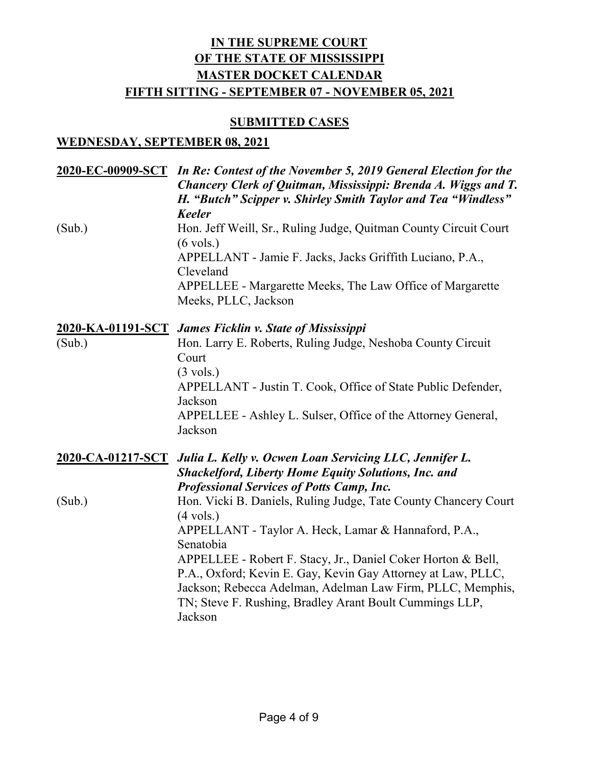#### **SUBMITTED CASES**

### **WEDNESDAY, SEPTEMBER 08, 2021**

|                   | 2020-EC-00909-SCT In Re: Contest of the November 5, 2019 General Election for the<br>Chancery Clerk of Quitman, Mississippi: Brenda A. Wiggs and T.<br>H. "Butch" Scipper v. Shirley Smith Taylor and Tea "Windless"<br><b>Keeler</b>                            |
|-------------------|------------------------------------------------------------------------------------------------------------------------------------------------------------------------------------------------------------------------------------------------------------------|
| (Sub.)            | Hon. Jeff Weill, Sr., Ruling Judge, Quitman County Circuit Court<br>$(6 \text{ vols.})$                                                                                                                                                                          |
|                   | APPELLANT - Jamie F. Jacks, Jacks Griffith Luciano, P.A.,<br>Cleveland                                                                                                                                                                                           |
|                   | APPELLEE - Margarette Meeks, The Law Office of Margarette<br>Meeks, PLLC, Jackson                                                                                                                                                                                |
|                   | 2020-KA-01191-SCT James Ficklin v. State of Mississippi                                                                                                                                                                                                          |
| (Sub.)            | Hon. Larry E. Roberts, Ruling Judge, Neshoba County Circuit<br>Court<br>$(3 \text{ vols.})$                                                                                                                                                                      |
|                   | APPELLANT - Justin T. Cook, Office of State Public Defender,<br>Jackson                                                                                                                                                                                          |
|                   | APPELLEE - Ashley L. Sulser, Office of the Attorney General,<br>Jackson                                                                                                                                                                                          |
| 2020-CA-01217-SCT | Julia L. Kelly v. Ocwen Loan Servicing LLC, Jennifer L.<br><b>Shackelford, Liberty Home Equity Solutions, Inc. and</b><br><b>Professional Services of Potts Camp, Inc.</b>                                                                                       |
| (Sub.)            | Hon. Vicki B. Daniels, Ruling Judge, Tate County Chancery Court<br>$(4 \text{ vols.})$                                                                                                                                                                           |
|                   | APPELLANT - Taylor A. Heck, Lamar & Hannaford, P.A.,<br>Senatobia                                                                                                                                                                                                |
|                   | APPELLEE - Robert F. Stacy, Jr., Daniel Coker Horton & Bell,<br>P.A., Oxford; Kevin E. Gay, Kevin Gay Attorney at Law, PLLC,<br>Jackson; Rebecca Adelman, Adelman Law Firm, PLLC, Memphis,<br>TN; Steve F. Rushing, Bradley Arant Boult Cummings LLP,<br>Jackson |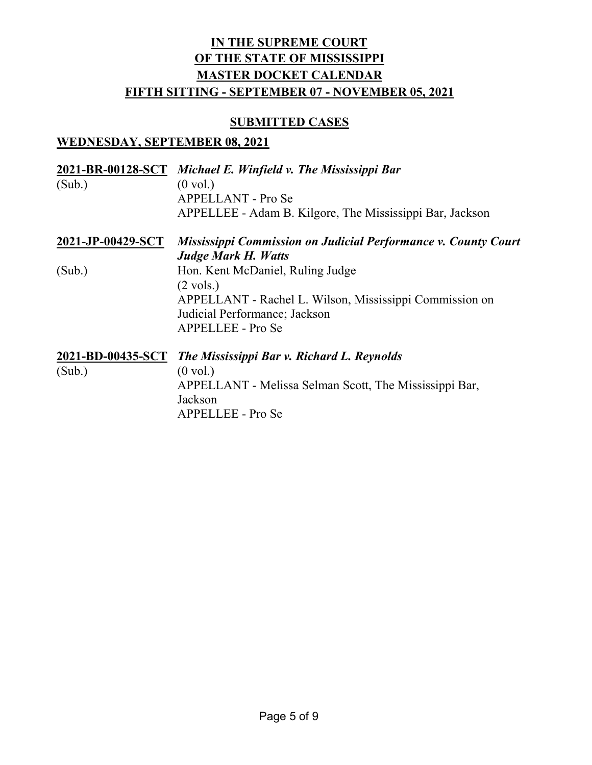#### **SUBMITTED CASES**

### **WEDNESDAY, SEPTEMBER 08, 2021**

|                   | 2021-BR-00128-SCT Michael E. Winfield v. The Mississippi Bar   |
|-------------------|----------------------------------------------------------------|
| (Sub.)            | $(0 \text{ vol.})$                                             |
|                   | <b>APPELLANT</b> - Pro Se                                      |
|                   | APPELLEE - Adam B. Kilgore, The Mississippi Bar, Jackson       |
| 2021-JP-00429-SCT | Mississippi Commission on Judicial Performance v. County Court |
|                   | <b>Judge Mark H. Watts</b>                                     |
| (Sub.)            | Hon. Kent McDaniel, Ruling Judge                               |
|                   | $(2 \text{ vols.})$                                            |
|                   | APPELLANT - Rachel L. Wilson, Mississippi Commission on        |
|                   | Judicial Performance; Jackson                                  |
|                   | APPELLEE - Pro Se                                              |
| 2021-BD-00435-SCT | The Mississippi Bar v. Richard L. Reynolds                     |
| (Sub.)            | $(0 \text{ vol.})$                                             |
|                   | APPELLANT - Melissa Selman Scott, The Mississippi Bar,         |
|                   | Jackson                                                        |
|                   | APPELLEE - Pro Se                                              |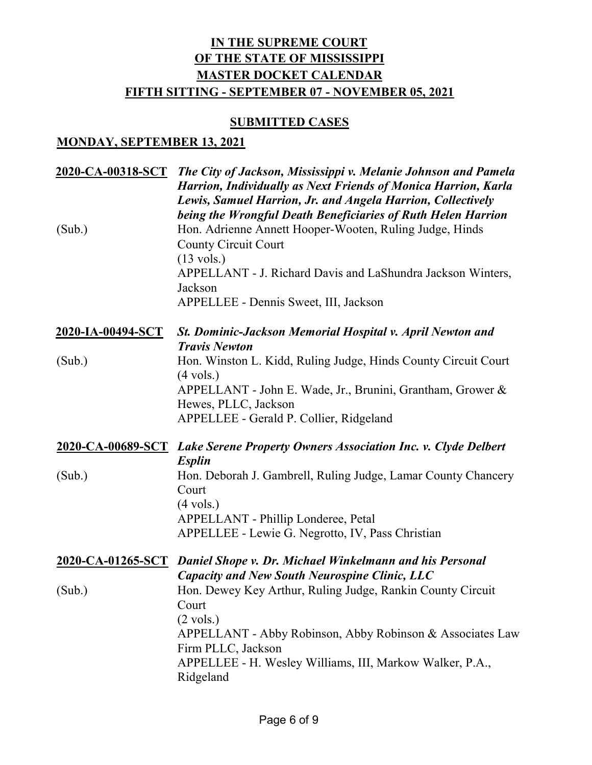#### **SUBMITTED CASES**

#### **MONDAY, SEPTEMBER 13, 2021**

| 2020-CA-00318-SCT | The City of Jackson, Mississippi v. Melanie Johnson and Pamela<br><b>Harrion, Individually as Next Friends of Monica Harrion, Karla</b><br>Lewis, Samuel Harrion, Jr. and Angela Harrion, Collectively<br>being the Wrongful Death Beneficiaries of Ruth Helen Harrion                                         |
|-------------------|----------------------------------------------------------------------------------------------------------------------------------------------------------------------------------------------------------------------------------------------------------------------------------------------------------------|
| (Sub.)            | Hon. Adrienne Annett Hooper-Wooten, Ruling Judge, Hinds<br><b>County Circuit Court</b><br>$(13 \text{ vols.})$                                                                                                                                                                                                 |
|                   | APPELLANT - J. Richard Davis and LaShundra Jackson Winters,<br>Jackson<br>APPELLEE - Dennis Sweet, III, Jackson                                                                                                                                                                                                |
| 2020-IA-00494-SCT | St. Dominic-Jackson Memorial Hospital v. April Newton and<br><b>Travis Newton</b>                                                                                                                                                                                                                              |
| (Sub.)            | Hon. Winston L. Kidd, Ruling Judge, Hinds County Circuit Court<br>$(4 \text{ vols.})$<br>APPELLANT - John E. Wade, Jr., Brunini, Grantham, Grower &<br>Hewes, PLLC, Jackson<br>APPELLEE - Gerald P. Collier, Ridgeland                                                                                         |
|                   | 2020-CA-00689-SCT Lake Serene Property Owners Association Inc. v. Clyde Delbert                                                                                                                                                                                                                                |
| (Sub.)            | <b>Esplin</b><br>Hon. Deborah J. Gambrell, Ruling Judge, Lamar County Chancery<br>Court<br>$(4 \text{ vols.})$<br>APPELLANT - Phillip Londeree, Petal                                                                                                                                                          |
|                   | APPELLEE - Lewie G. Negrotto, IV, Pass Christian<br>2020-CA-01265-SCT Daniel Shope v. Dr. Michael Winkelmann and his Personal                                                                                                                                                                                  |
| (Sub.)            | <b>Capacity and New South Neurospine Clinic, LLC</b><br>Hon. Dewey Key Arthur, Ruling Judge, Rankin County Circuit<br>Court<br>$(2 \text{ vols.})$<br>APPELLANT - Abby Robinson, Abby Robinson & Associates Law<br>Firm PLLC, Jackson<br>APPELLEE - H. Wesley Williams, III, Markow Walker, P.A.,<br>Ridgeland |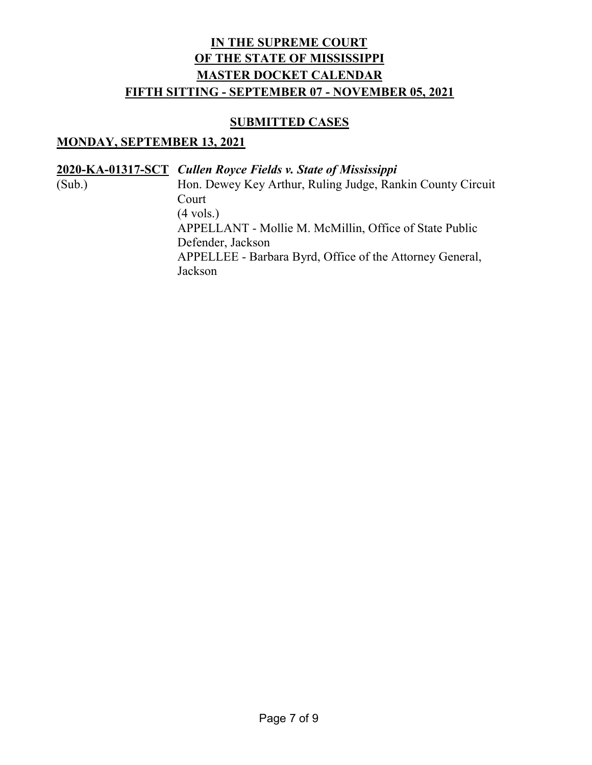#### **SUBMITTED CASES**

#### **MONDAY, SEPTEMBER 13, 2021**

**2020-KA-01317-SCT** *Cullen Royce Fields v. State of Mississippi*

(Sub.) Hon. Dewey Key Arthur, Ruling Judge, Rankin County Circuit Court (4 vols.) APPELLANT - Mollie M. McMillin, Office of State Public Defender, Jackson APPELLEE - Barbara Byrd, Office of the Attorney General, Jackson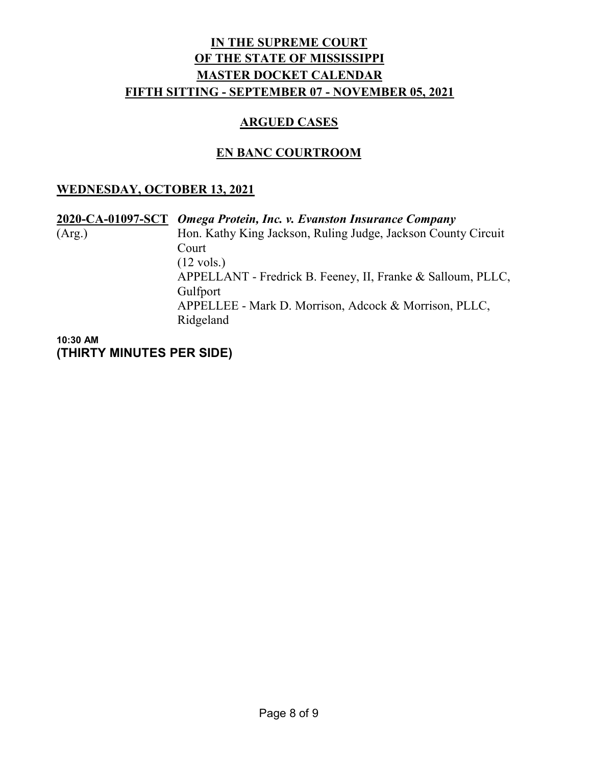### **ARGUED CASES**

## **EN BANC COURTROOM**

### **WEDNESDAY, OCTOBER 13, 2021**

|        | 2020-CA-01097-SCT Omega Protein, Inc. v. Evanston Insurance Company |
|--------|---------------------------------------------------------------------|
| (Arg.) | Hon. Kathy King Jackson, Ruling Judge, Jackson County Circuit       |
|        | Court                                                               |
|        | $(12 \text{ vols.})$                                                |
|        | APPELLANT - Fredrick B. Feeney, II, Franke & Salloum, PLLC,         |
|        | Gulfport                                                            |
|        | APPELLEE - Mark D. Morrison, Adcock & Morrison, PLLC,               |
|        | Ridgeland                                                           |
|        |                                                                     |

**10:30 AM (THIRTY MINUTES PER SIDE)**